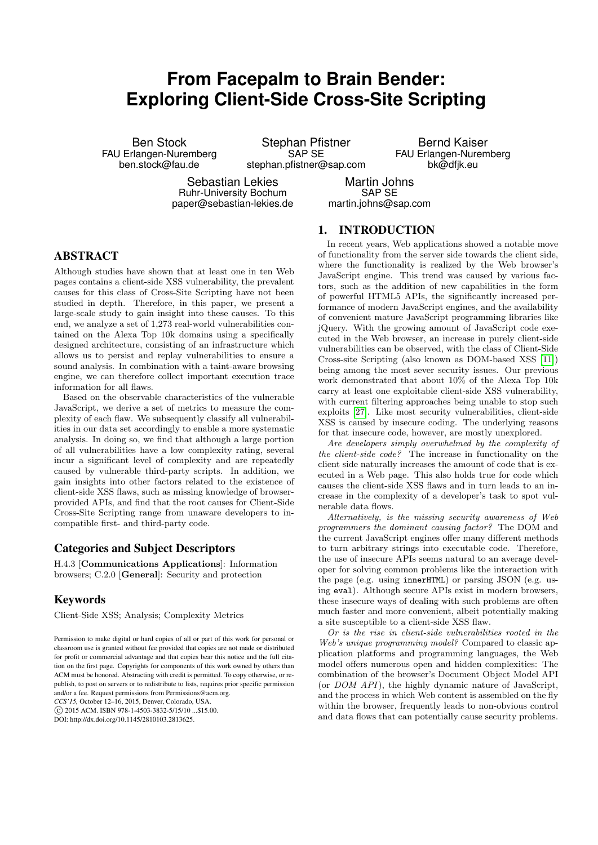# **From Facepalm to Brain Bender: Exploring Client-Side Cross-Site Scripting**

Ben Stock FAU Erlangen-Nuremberg ben.stock@fau.de

Stephan Pfistner SAP SE stephan.pfistner@sap.com

Bernd Kaiser FAU Erlangen-Nuremberg bk@dfjk.eu

Sebastian Lekies Ruhr-University Bochum paper@sebastian-lekies.de

Martin Johns SAP SE martin.johns@sap.com

# 1. INTRODUCTION

## ABSTRACT

Although studies have shown that at least one in ten Web pages contains a client-side XSS vulnerability, the prevalent causes for this class of Cross-Site Scripting have not been studied in depth. Therefore, in this paper, we present a large-scale study to gain insight into these causes. To this end, we analyze a set of 1,273 real-world vulnerabilities contained on the Alexa Top 10k domains using a specifically designed architecture, consisting of an infrastructure which allows us to persist and replay vulnerabilities to ensure a sound analysis. In combination with a taint-aware browsing engine, we can therefore collect important execution trace information for all flaws.

Based on the observable characteristics of the vulnerable JavaScript, we derive a set of metrics to measure the complexity of each flaw. We subsequently classify all vulnerabilities in our data set accordingly to enable a more systematic analysis. In doing so, we find that although a large portion of all vulnerabilities have a low complexity rating, several incur a significant level of complexity and are repeatedly caused by vulnerable third-party scripts. In addition, we gain insights into other factors related to the existence of client-side XSS flaws, such as missing knowledge of browserprovided APIs, and find that the root causes for Client-Side Cross-Site Scripting range from unaware developers to incompatible first- and third-party code.

## Categories and Subject Descriptors

H.4.3 [Communications Applications]: Information browsers; C.2.0 [General]: Security and protection

## Keywords

Client-Side XSS; Analysis; Complexity Metrics

*CCS'15,* October 12–16, 2015, Denver, Colorado, USA.

C 2015 ACM. ISBN 978-1-4503-3832-5/15/10 \$15.00

DOI: http://dx.doi.org/10.1145/2810103.2813625.

In recent years, Web applications showed a notable move of functionality from the server side towards the client side, where the functionality is realized by the Web browser's JavaScript engine. This trend was caused by various factors, such as the addition of new capabilities in the form of powerful HTML5 APIs, the significantly increased performance of modern JavaScript engines, and the availability of convenient mature JavaScript programming libraries like jQuery. With the growing amount of JavaScript code executed in the Web browser, an increase in purely client-side vulnerabilities can be observed, with the class of Client-Side Cross-site Scripting (also known as DOM-based XSS [\[11\]](#page-11-0)) being among the most sever security issues. Our previous work demonstrated that about 10% of the Alexa Top 10k carry at least one exploitable client-side XSS vulnerability, with current filtering approaches being unable to stop such exploits [\[27\]](#page-11-1). Like most security vulnerabilities, client-side XSS is caused by insecure coding. The underlying reasons for that insecure code, however, are mostly unexplored.

Are developers simply overwhelmed by the complexity of the client-side code? The increase in functionality on the client side naturally increases the amount of code that is executed in a Web page. This also holds true for code which causes the client-side XSS flaws and in turn leads to an increase in the complexity of a developer's task to spot vulnerable data flows.

Alternatively, is the missing security awareness of Web programmers the dominant causing factor? The DOM and the current JavaScript engines offer many different methods to turn arbitrary strings into executable code. Therefore, the use of insecure APIs seems natural to an average developer for solving common problems like the interaction with the page (e.g. using innerHTML) or parsing JSON (e.g. using eval). Although secure APIs exist in modern browsers, these insecure ways of dealing with such problems are often much faster and more convenient, albeit potentially making a site susceptible to a client-side XSS flaw.

Or is the rise in client-side vulnerabilities rooted in the Web's unique programming model? Compared to classic application platforms and programming languages, the Web model offers numerous open and hidden complexities: The combination of the browser's Document Object Model API (or DOM API), the highly dynamic nature of JavaScript, and the process in which Web content is assembled on the fly within the browser, frequently leads to non-obvious control and data flows that can potentially cause security problems.

Permission to make digital or hard copies of all or part of this work for personal or classroom use is granted without fee provided that copies are not made or distributed for profit or commercial advantage and that copies bear this notice and the full citation on the first page. Copyrights for components of this work owned by others than ACM must be honored. Abstracting with credit is permitted. To copy otherwise, or republish, to post on servers or to redistribute to lists, requires prior specific permission and/or a fee. Request permissions from Permissions@acm.org.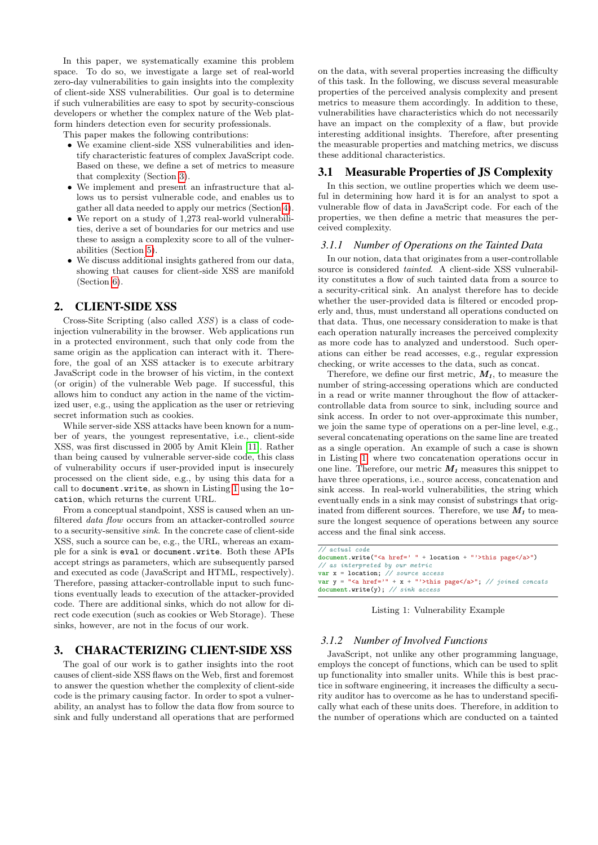In this paper, we systematically examine this problem space. To do so, we investigate a large set of real-world zero-day vulnerabilities to gain insights into the complexity of client-side XSS vulnerabilities. Our goal is to determine if such vulnerabilities are easy to spot by security-conscious developers or whether the complex nature of the Web platform hinders detection even for security professionals.

This paper makes the following contributions:

- We examine client-side XSS vulnerabilities and identify characteristic features of complex JavaScript code. Based on these, we define a set of metrics to measure that complexity (Section [3\)](#page-1-0).
- We implement and present an infrastructure that allows us to persist vulnerable code, and enables us to gather all data needed to apply our metrics (Section [4\)](#page-3-0).
- We report on a study of 1,273 real-world vulnerabilities, derive a set of boundaries for our metrics and use these to assign a complexity score to all of the vulnerabilities (Section [5\)](#page-5-0).
- We discuss additional insights gathered from our data, showing that causes for client-side XSS are manifold (Section [6\)](#page-8-0).

## 2. CLIENT-SIDE XSS

Cross-Site Scripting (also called XSS) is a class of codeinjection vulnerability in the browser. Web applications run in a protected environment, such that only code from the same origin as the application can interact with it. Therefore, the goal of an XSS attacker is to execute arbitrary JavaScript code in the browser of his victim, in the context (or origin) of the vulnerable Web page. If successful, this allows him to conduct any action in the name of the victimized user, e.g., using the application as the user or retrieving secret information such as cookies.

While server-side XSS attacks have been known for a number of years, the youngest representative, i.e., client-side XSS, was first discussed in 2005 by Amit Klein [\[11\]](#page-11-0). Rather than being caused by vulnerable server-side code, this class of vulnerability occurs if user-provided input is insecurely processed on the client side, e.g., by using this data for a call to document.write, as shown in Listing [1](#page-1-1) using the location, which returns the current URL.

From a conceptual standpoint, XSS is caused when an unfiltered data flow occurs from an attacker-controlled source to a security-sensitive sink. In the concrete case of client-side XSS, such a source can be, e.g., the URL, whereas an example for a sink is eval or document.write. Both these APIs accept strings as parameters, which are subsequently parsed and executed as code (JavaScript and HTML, respectively). Therefore, passing attacker-controllable input to such functions eventually leads to execution of the attacker-provided code. There are additional sinks, which do not allow for direct code execution (such as cookies or Web Storage). These sinks, however, are not in the focus of our work.

## <span id="page-1-0"></span>3. CHARACTERIZING CLIENT-SIDE XSS

The goal of our work is to gather insights into the root causes of client-side XSS flaws on the Web, first and foremost to answer the question whether the complexity of client-side code is the primary causing factor. In order to spot a vulnerability, an analyst has to follow the data flow from source to sink and fully understand all operations that are performed

on the data, with several properties increasing the difficulty of this task. In the following, we discuss several measurable properties of the perceived analysis complexity and present metrics to measure them accordingly. In addition to these, vulnerabilities have characteristics which do not necessarily have an impact on the complexity of a flaw, but provide interesting additional insights. Therefore, after presenting the measurable properties and matching metrics, we discuss these additional characteristics.

#### <span id="page-1-2"></span>3.1 Measurable Properties of JS Complexity

In this section, we outline properties which we deem useful in determining how hard it is for an analyst to spot a vulnerable flow of data in JavaScript code. For each of the properties, we then define a metric that measures the perceived complexity.

#### *3.1.1 Number of Operations on the Tainted Data*

In our notion, data that originates from a user-controllable source is considered tainted. A client-side XSS vulnerability constitutes a flow of such tainted data from a source to a security-critical sink. An analyst therefore has to decide whether the user-provided data is filtered or encoded properly and, thus, must understand all operations conducted on that data. Thus, one necessary consideration to make is that each operation naturally increases the perceived complexity as more code has to analyzed and understood. Such operations can either be read accesses, e.g., regular expression checking, or write accesses to the data, such as concat.

Therefore, we define our first metric,  $M_1$ , to measure the number of string-accessing operations which are conducted in a read or write manner throughout the flow of attackercontrollable data from source to sink, including source and sink access. In order to not over-approximate this number, we join the same type of operations on a per-line level, e.g., several concatenating operations on the same line are treated as a single operation. An example of such a case is shown in Listing [1,](#page-1-1) where two concatenation operations occur in one line. Therefore, our metric  $M_1$  measures this snippet to have three operations, i.e., source access, concatenation and sink access. In real-world vulnerabilities, the string which eventually ends in a sink may consist of substrings that originated from different sources. Therefore, we use  $M_1$  to measure the longest sequence of operations between any source access and the final sink access.

```
// actual code
document.write("<a href=' " + location + "'>this page</a>")
// as interpreted by our metric
var x = location; // source access<br>var y = "<a href='" + x + "'>this page</a>"; // joined concats<br>document.write(y); // sink access
```


#### *3.1.2 Number of Involved Functions*

JavaScript, not unlike any other programming language, employs the concept of functions, which can be used to split up functionality into smaller units. While this is best practice in software engineering, it increases the difficulty a security auditor has to overcome as he has to understand specifically what each of these units does. Therefore, in addition to the number of operations which are conducted on a tainted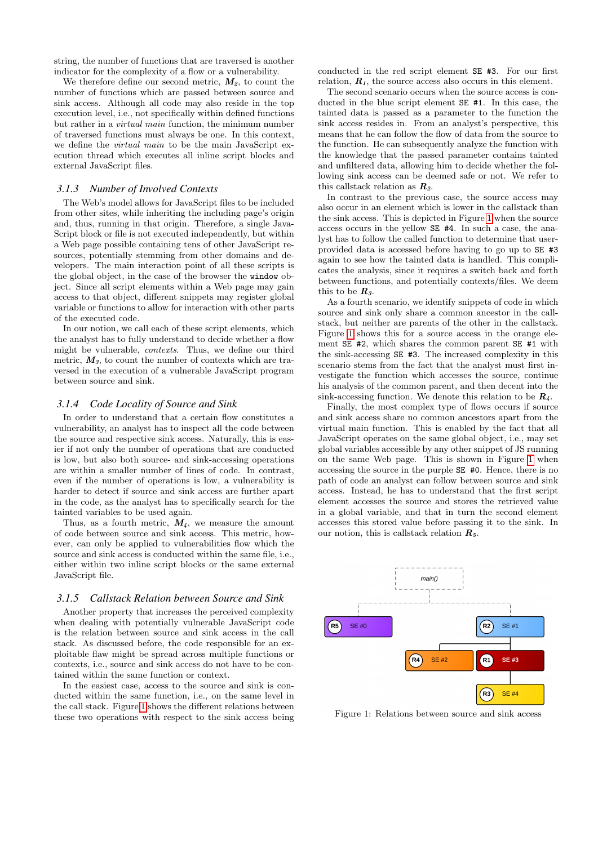string, the number of functions that are traversed is another indicator for the complexity of a flow or a vulnerability.

We therefore define our second metric,  $M_2$ , to count the number of functions which are passed between source and sink access. Although all code may also reside in the top execution level, i.e., not specifically within defined functions but rather in a virtual main function, the minimum number of traversed functions must always be one. In this context, we define the *virtual main* to be the main JavaScript execution thread which executes all inline script blocks and external JavaScript files.

#### *3.1.3 Number of Involved Contexts*

The Web's model allows for JavaScript files to be included from other sites, while inheriting the including page's origin and, thus, running in that origin. Therefore, a single Java-Script block or file is not executed independently, but within a Web page possible containing tens of other JavaScript resources, potentially stemming from other domains and developers. The main interaction point of all these scripts is the global object, in the case of the browser the window object. Since all script elements within a Web page may gain access to that object, different snippets may register global variable or functions to allow for interaction with other parts of the executed code.

In our notion, we call each of these script elements, which the analyst has to fully understand to decide whether a flow might be vulnerable, contexts. Thus, we define our third metric,  $M_3$ , to count the number of contexts which are traversed in the execution of a vulnerable JavaScript program between source and sink.

#### *3.1.4 Code Locality of Source and Sink*

In order to understand that a certain flow constitutes a vulnerability, an analyst has to inspect all the code between the source and respective sink access. Naturally, this is easier if not only the number of operations that are conducted is low, but also both source- and sink-accessing operations are within a smaller number of lines of code. In contrast, even if the number of operations is low, a vulnerability is harder to detect if source and sink access are further apart in the code, as the analyst has to specifically search for the tainted variables to be used again.

Thus, as a fourth metric,  $M_4$ , we measure the amount of code between source and sink access. This metric, however, can only be applied to vulnerabilities flow which the source and sink access is conducted within the same file, i.e., either within two inline script blocks or the same external JavaScript file.

#### *3.1.5 Callstack Relation between Source and Sink*

Another property that increases the perceived complexity when dealing with potentially vulnerable JavaScript code is the relation between source and sink access in the call stack. As discussed before, the code responsible for an exploitable flaw might be spread across multiple functions or contexts, i.e., source and sink access do not have to be contained within the same function or context.

In the easiest case, access to the source and sink is conducted within the same function, i.e., on the same level in the call stack. Figure [1](#page-2-0) shows the different relations between these two operations with respect to the sink access being conducted in the red script element SE #3. For our first relation,  $\mathbf{R}_1$ , the source access also occurs in this element.

The second scenario occurs when the source access is conducted in the blue script element SE #1. In this case, the tainted data is passed as a parameter to the function the sink access resides in. From an analyst's perspective, this means that he can follow the flow of data from the source to the function. He can subsequently analyze the function with the knowledge that the passed parameter contains tainted and unfiltered data, allowing him to decide whether the following sink access can be deemed safe or not. We refer to this callstack relation as  $\mathbf{R}_2$ .

In contrast to the previous case, the source access may also occur in an element which is lower in the callstack than the sink access. This is depicted in Figure [1](#page-2-0) when the source access occurs in the yellow SE #4. In such a case, the analyst has to follow the called function to determine that userprovided data is accessed before having to go up to SE #3 again to see how the tainted data is handled. This complicates the analysis, since it requires a switch back and forth between functions, and potentially contexts/files. We deem this to be  $R_3$ .

As a fourth scenario, we identify snippets of code in which source and sink only share a common ancestor in the callstack, but neither are parents of the other in the callstack. Figure [1](#page-2-0) shows this for a source access in the orange element SE #2, which shares the common parent SE #1 with the sink-accessing SE #3. The increased complexity in this scenario stems from the fact that the analyst must first investigate the function which accesses the source, continue his analysis of the common parent, and then decent into the sink-accessing function. We denote this relation to be  $R_4$ .

Finally, the most complex type of flows occurs if source and sink access share no common ancestors apart from the virtual main function. This is enabled by the fact that all JavaScript operates on the same global object, i.e., may set global variables accessible by any other snippet of JS running on the same Web page. This is shown in Figure [1](#page-2-0) when accessing the source in the purple SE #0. Hence, there is no path of code an analyst can follow between source and sink access. Instead, he has to understand that the first script element accesses the source and stores the retrieved value in a global variable, and that in turn the second element accesses this stored value before passing it to the sink. In our notion, this is callstack relation  $\mathbf{R}_5$ .

<span id="page-2-0"></span>

Figure 1: Relations between source and sink access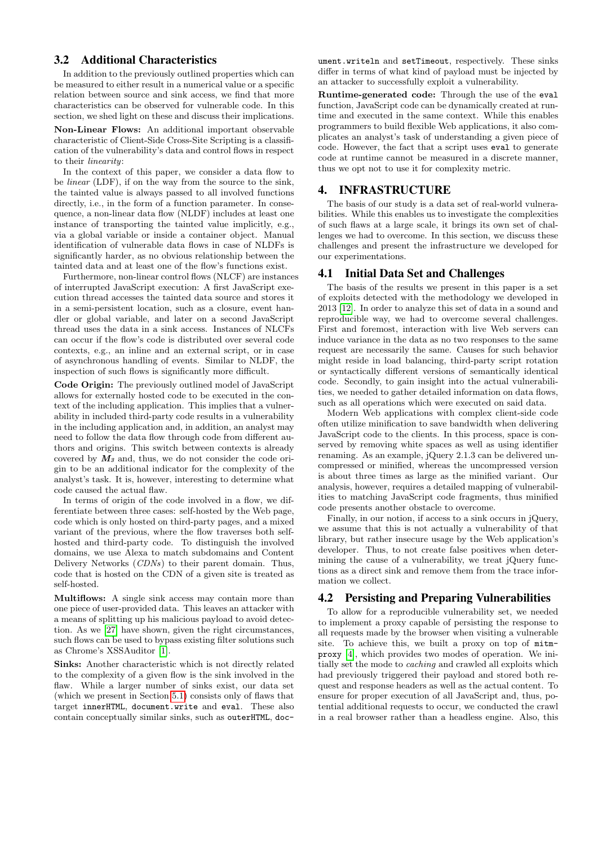# 3.2 Additional Characteristics

In addition to the previously outlined properties which can be measured to either result in a numerical value or a specific relation between source and sink access, we find that more characteristics can be observed for vulnerable code. In this section, we shed light on these and discuss their implications.

Non-Linear Flows: An additional important observable characteristic of Client-Side Cross-Site Scripting is a classification of the vulnerability's data and control flows in respect to their linearity:

In the context of this paper, we consider a data flow to be linear (LDF), if on the way from the source to the sink, the tainted value is always passed to all involved functions directly, i.e., in the form of a function parameter. In consequence, a non-linear data flow (NLDF) includes at least one instance of transporting the tainted value implicitly, e.g., via a global variable or inside a container object. Manual identification of vulnerable data flows in case of NLDFs is significantly harder, as no obvious relationship between the tainted data and at least one of the flow's functions exist.

Furthermore, non-linear control flows (NLCF) are instances of interrupted JavaScript execution: A first JavaScript execution thread accesses the tainted data source and stores it in a semi-persistent location, such as a closure, event handler or global variable, and later on a second JavaScript thread uses the data in a sink access. Instances of NLCFs can occur if the flow's code is distributed over several code contexts, e.g., an inline and an external script, or in case of asynchronous handling of events. Similar to NLDF, the inspection of such flows is significantly more difficult.

Code Origin: The previously outlined model of JavaScript allows for externally hosted code to be executed in the context of the including application. This implies that a vulnerability in included third-party code results in a vulnerability in the including application and, in addition, an analyst may need to follow the data flow through code from different authors and origins. This switch between contexts is already covered by  $M_3$  and, thus, we do not consider the code origin to be an additional indicator for the complexity of the analyst's task. It is, however, interesting to determine what code caused the actual flaw.

In terms of origin of the code involved in a flow, we differentiate between three cases: self-hosted by the Web page, code which is only hosted on third-party pages, and a mixed variant of the previous, where the flow traverses both selfhosted and third-party code. To distinguish the involved domains, we use Alexa to match subdomains and Content Delivery Networks (CDNs) to their parent domain. Thus, code that is hosted on the CDN of a given site is treated as self-hosted.

Multiflows: A single sink access may contain more than one piece of user-provided data. This leaves an attacker with a means of splitting up his malicious payload to avoid detection. As we [\[27\]](#page-11-1) have shown, given the right circumstances, such flows can be used to bypass existing filter solutions such as Chrome's XSSAuditor [\[1\]](#page-11-2).

Sinks: Another characteristic which is not directly related to the complexity of a given flow is the sink involved in the flaw. While a larger number of sinks exist, our data set (which we present in Section [5.1\)](#page-5-1) consists only of flaws that target innerHTML, document.write and eval. These also contain conceptually similar sinks, such as outerHTML, doc-

ument.writeln and setTimeout, respectively. These sinks differ in terms of what kind of payload must be injected by an attacker to successfully exploit a vulnerability.

Runtime-generated code: Through the use of the eval function, JavaScript code can be dynamically created at runtime and executed in the same context. While this enables programmers to build flexible Web applications, it also complicates an analyst's task of understanding a given piece of code. However, the fact that a script uses eval to generate code at runtime cannot be measured in a discrete manner, thus we opt not to use it for complexity metric.

## <span id="page-3-0"></span>4. INFRASTRUCTURE

The basis of our study is a data set of real-world vulnerabilities. While this enables us to investigate the complexities of such flaws at a large scale, it brings its own set of challenges we had to overcome. In this section, we discuss these challenges and present the infrastructure we developed for our experimentations.

## 4.1 Initial Data Set and Challenges

The basis of the results we present in this paper is a set of exploits detected with the methodology we developed in 2013 [\[12\]](#page-11-3). In order to analyze this set of data in a sound and reproducible way, we had to overcome several challenges. First and foremost, interaction with live Web servers can induce variance in the data as no two responses to the same request are necessarily the same. Causes for such behavior might reside in load balancing, third-party script rotation or syntactically different versions of semantically identical code. Secondly, to gain insight into the actual vulnerabilities, we needed to gather detailed information on data flows, such as all operations which were executed on said data.

Modern Web applications with complex client-side code often utilize minification to save bandwidth when delivering JavaScript code to the clients. In this process, space is conserved by removing white spaces as well as using identifier renaming. As an example, jQuery 2.1.3 can be delivered uncompressed or minified, whereas the uncompressed version is about three times as large as the minified variant. Our analysis, however, requires a detailed mapping of vulnerabilities to matching JavaScript code fragments, thus minified code presents another obstacle to overcome.

Finally, in our notion, if access to a sink occurs in jQuery, we assume that this is not actually a vulnerability of that library, but rather insecure usage by the Web application's developer. Thus, to not create false positives when determining the cause of a vulnerability, we treat jQuery functions as a direct sink and remove them from the trace information we collect.

#### 4.2 Persisting and Preparing Vulnerabilities

To allow for a reproducible vulnerability set, we needed to implement a proxy capable of persisting the response to all requests made by the browser when visiting a vulnerable site. To achieve this, we built a proxy on top of mitmproxy [\[4\]](#page-11-4), which provides two modes of operation. We initially set the mode to caching and crawled all exploits which had previously triggered their payload and stored both request and response headers as well as the actual content. To ensure for proper execution of all JavaScript and, thus, potential additional requests to occur, we conducted the crawl in a real browser rather than a headless engine. Also, this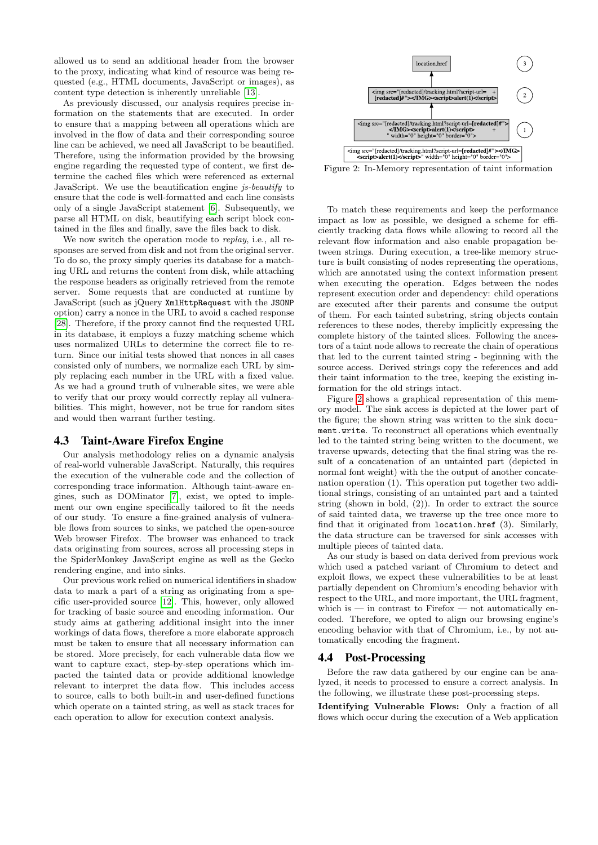allowed us to send an additional header from the browser to the proxy, indicating what kind of resource was being requested (e.g., HTML documents, JavaScript or images), as content type detection is inherently unreliable [\[13\]](#page-11-5).

As previously discussed, our analysis requires precise information on the statements that are executed. In order to ensure that a mapping between all operations which are involved in the flow of data and their corresponding source line can be achieved, we need all JavaScript to be beautified. Therefore, using the information provided by the browsing engine regarding the requested type of content, we first determine the cached files which were referenced as external JavaScript. We use the beautification engine js-beautify to ensure that the code is well-formatted and each line consists only of a single JavaScript statement [\[6\]](#page-11-6). Subsequently, we parse all HTML on disk, beautifying each script block contained in the files and finally, save the files back to disk.

We now switch the operation mode to *replay*, i.e., all responses are served from disk and not from the original server. To do so, the proxy simply queries its database for a matching URL and returns the content from disk, while attaching the response headers as originally retrieved from the remote server. Some requests that are conducted at runtime by JavaScript (such as jQuery XmlHttpRequest with the JSONP option) carry a nonce in the URL to avoid a cached response [\[28\]](#page-11-7). Therefore, if the proxy cannot find the requested URL in its database, it employs a fuzzy matching scheme which uses normalized URLs to determine the correct file to return. Since our initial tests showed that nonces in all cases consisted only of numbers, we normalize each URL by simply replacing each number in the URL with a fixed value. As we had a ground truth of vulnerable sites, we were able to verify that our proxy would correctly replay all vulnerabilities. This might, however, not be true for random sites and would then warrant further testing.

## <span id="page-4-1"></span>4.3 Taint-Aware Firefox Engine

Our analysis methodology relies on a dynamic analysis of real-world vulnerable JavaScript. Naturally, this requires the execution of the vulnerable code and the collection of corresponding trace information. Although taint-aware engines, such as DOMinator [\[7\]](#page-11-8), exist, we opted to implement our own engine specifically tailored to fit the needs of our study. To ensure a fine-grained analysis of vulnerable flows from sources to sinks, we patched the open-source Web browser Firefox. The browser was enhanced to track data originating from sources, across all processing steps in the SpiderMonkey JavaScript engine as well as the Gecko rendering engine, and into sinks.

Our previous work relied on numerical identifiers in shadow data to mark a part of a string as originating from a specific user-provided source [\[12\]](#page-11-3). This, however, only allowed for tracking of basic source and encoding information. Our study aims at gathering additional insight into the inner workings of data flows, therefore a more elaborate approach must be taken to ensure that all necessary information can be stored. More precisely, for each vulnerable data flow we want to capture exact, step-by-step operations which impacted the tainted data or provide additional knowledge relevant to interpret the data flow. This includes access to source, calls to both built-in and user-defined functions which operate on a tainted string, as well as stack traces for each operation to allow for execution context analysis.

<span id="page-4-0"></span>

Figure 2: In-Memory representation of taint information

To match these requirements and keep the performance impact as low as possible, we designed a scheme for efficiently tracking data flows while allowing to record all the relevant flow information and also enable propagation between strings. During execution, a tree-like memory structure is built consisting of nodes representing the operations, which are annotated using the context information present when executing the operation. Edges between the nodes represent execution order and dependency: child operations are executed after their parents and consume the output of them. For each tainted substring, string objects contain references to these nodes, thereby implicitly expressing the complete history of the tainted slices. Following the ancestors of a taint node allows to recreate the chain of operations that led to the current tainted string - beginning with the source access. Derived strings copy the references and add their taint information to the tree, keeping the existing information for the old strings intact.

Figure [2](#page-4-0) shows a graphical representation of this memory model. The sink access is depicted at the lower part of the figure; the shown string was written to the sink document.write. To reconstruct all operations which eventually led to the tainted string being written to the document, we traverse upwards, detecting that the final string was the result of a concatenation of an untainted part (depicted in normal font weight) with the the output of another concatenation operation (1). This operation put together two additional strings, consisting of an untainted part and a tainted string (shown in bold, (2)). In order to extract the source of said tainted data, we traverse up the tree once more to find that it originated from location.href (3). Similarly, the data structure can be traversed for sink accesses with multiple pieces of tainted data.

As our study is based on data derived from previous work which used a patched variant of Chromium to detect and exploit flows, we expect these vulnerabilities to be at least partially dependent on Chromium's encoding behavior with respect to the URL, and more important, the URL fragment, which is  $-$  in contrast to Firefox  $-$  not automatically encoded. Therefore, we opted to align our browsing engine's encoding behavior with that of Chromium, i.e., by not automatically encoding the fragment.

#### 4.4 Post-Processing

Before the raw data gathered by our engine can be analyzed, it needs to processed to ensure a correct analysis. In the following, we illustrate these post-processing steps.

Identifying Vulnerable Flows: Only a fraction of all flows which occur during the execution of a Web application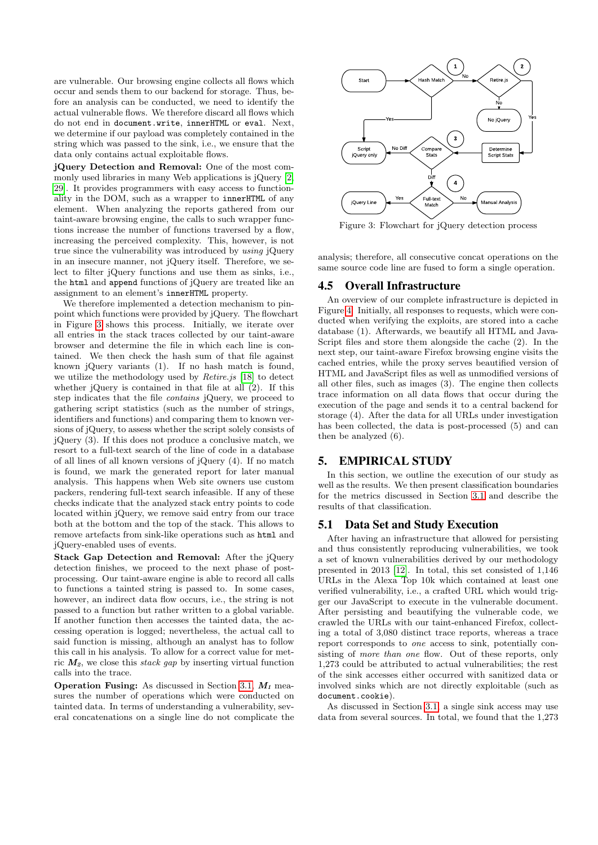are vulnerable. Our browsing engine collects all flows which occur and sends them to our backend for storage. Thus, before an analysis can be conducted, we need to identify the actual vulnerable flows. We therefore discard all flows which do not end in document.write, innerHTML or eval. Next, we determine if our payload was completely contained in the string which was passed to the sink, i.e., we ensure that the data only contains actual exploitable flows.

jQuery Detection and Removal: One of the most commonly used libraries in many Web applications is jQuery [\[2,](#page-11-9) [29\]](#page-11-10). It provides programmers with easy access to functionality in the DOM, such as a wrapper to innerHTML of any element. When analyzing the reports gathered from our taint-aware browsing engine, the calls to such wrapper functions increase the number of functions traversed by a flow, increasing the perceived complexity. This, however, is not true since the vulnerability was introduced by using jQuery in an insecure manner, not jQuery itself. Therefore, we select to filter jQuery functions and use them as sinks, i.e., the html and append functions of jQuery are treated like an assignment to an element's innerHTML property.

We therefore implemented a detection mechanism to pinpoint which functions were provided by jQuery. The flowchart in Figure [3](#page-5-2) shows this process. Initially, we iterate over all entries in the stack traces collected by our taint-aware browser and determine the file in which each line is contained. We then check the hash sum of that file against known jQuery variants (1). If no hash match is found, we utilize the methodology used by Retire.js [\[18\]](#page-11-11) to detect whether jQuery is contained in that file at all (2). If this step indicates that the file contains jQuery, we proceed to gathering script statistics (such as the number of strings, identifiers and functions) and comparing them to known versions of jQuery, to assess whether the script solely consists of jQuery (3). If this does not produce a conclusive match, we resort to a full-text search of the line of code in a database of all lines of all known versions of jQuery (4). If no match is found, we mark the generated report for later manual analysis. This happens when Web site owners use custom packers, rendering full-text search infeasible. If any of these checks indicate that the analyzed stack entry points to code located within jQuery, we remove said entry from our trace both at the bottom and the top of the stack. This allows to remove artefacts from sink-like operations such as html and jQuery-enabled uses of events.

Stack Gap Detection and Removal: After the jQuery detection finishes, we proceed to the next phase of postprocessing. Our taint-aware engine is able to record all calls to functions a tainted string is passed to. In some cases, however, an indirect data flow occurs, i.e., the string is not passed to a function but rather written to a global variable. If another function then accesses the tainted data, the accessing operation is logged; nevertheless, the actual call to said function is missing, although an analyst has to follow this call in his analysis. To allow for a correct value for metric  $M_2$ , we close this *stack gap* by inserting virtual function calls into the trace.

**Operation Fusing:** As discussed in Section [3.1,](#page-1-2)  $M_1$  measures the number of operations which were conducted on tainted data. In terms of understanding a vulnerability, several concatenations on a single line do not complicate the

<span id="page-5-2"></span>

Figure 3: Flowchart for jQuery detection process

analysis; therefore, all consecutive concat operations on the same source code line are fused to form a single operation.

#### 4.5 Overall Infrastructure

An overview of our complete infrastructure is depicted in Figure [4.](#page-6-0) Initially, all responses to requests, which were conducted when verifying the exploits, are stored into a cache database (1). Afterwards, we beautify all HTML and Java-Script files and store them alongside the cache (2). In the next step, our taint-aware Firefox browsing engine visits the cached entries, while the proxy serves beautified version of HTML and JavaScript files as well as unmodified versions of all other files, such as images (3). The engine then collects trace information on all data flows that occur during the execution of the page and sends it to a central backend for storage (4). After the data for all URLs under investigation has been collected, the data is post-processed (5) and can then be analyzed (6).

## <span id="page-5-0"></span>5. EMPIRICAL STUDY

In this section, we outline the execution of our study as well as the results. We then present classification boundaries for the metrics discussed in Section [3.1](#page-1-2) and describe the results of that classification.

## <span id="page-5-1"></span>5.1 Data Set and Study Execution

After having an infrastructure that allowed for persisting and thus consistently reproducing vulnerabilities, we took a set of known vulnerabilities derived by our methodology presented in 2013 [\[12\]](#page-11-3). In total, this set consisted of 1,146 URLs in the Alexa Top 10k which contained at least one verified vulnerability, i.e., a crafted URL which would trigger our JavaScript to execute in the vulnerable document. After persisting and beautifying the vulnerable code, we crawled the URLs with our taint-enhanced Firefox, collecting a total of 3,080 distinct trace reports, whereas a trace report corresponds to one access to sink, potentially consisting of more than one flow. Out of these reports, only 1,273 could be attributed to actual vulnerabilities; the rest of the sink accesses either occurred with sanitized data or involved sinks which are not directly exploitable (such as document.cookie).

As discussed in Section [3.1,](#page-1-2) a single sink access may use data from several sources. In total, we found that the 1,273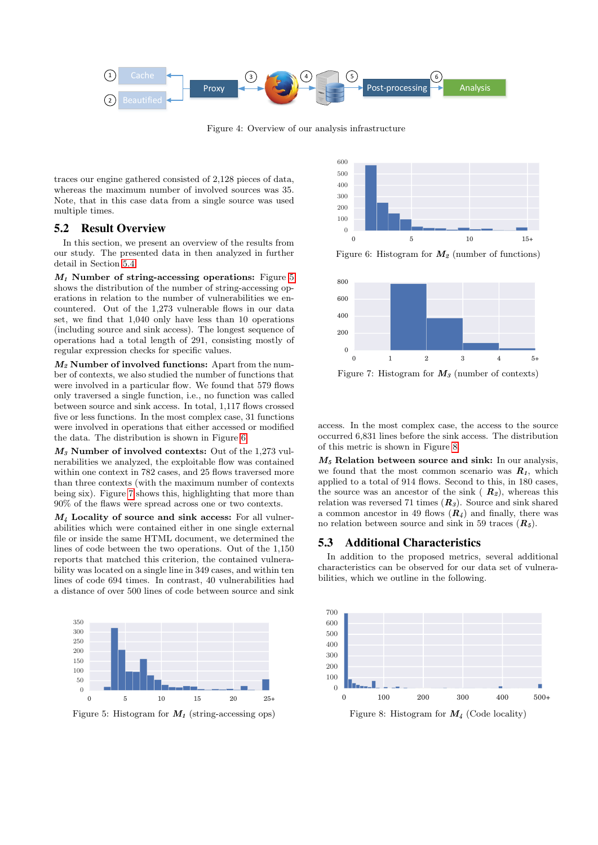<span id="page-6-0"></span>

Figure 4: Overview of our analysis infrastructure

traces our engine gathered consisted of 2,128 pieces of data, whereas the maximum number of involved sources was 35. Note, that in this case data from a single source was used multiple times.

#### 5.2 Result Overview

In this section, we present an overview of the results from our study. The presented data in then analyzed in further detail in Section [5.4.](#page-7-0)

 $M_1$  Number of string-accessing operations: Figure [5](#page-6-1) shows the distribution of the number of string-accessing operations in relation to the number of vulnerabilities we encountered. Out of the 1,273 vulnerable flows in our data set, we find that 1,040 only have less than 10 operations (including source and sink access). The longest sequence of operations had a total length of 291, consisting mostly of regular expression checks for specific values.

 $M_2$  Number of involved functions: Apart from the number of contexts, we also studied the number of functions that were involved in a particular flow. We found that 579 flows only traversed a single function, i.e., no function was called between source and sink access. In total, 1,117 flows crossed five or less functions. In the most complex case, 31 functions were involved in operations that either accessed or modified the data. The distribution is shown in Figure [6.](#page-6-2)

 $M_3$  Number of involved contexts: Out of the 1,273 vulnerabilities we analyzed, the exploitable flow was contained within one context in 782 cases, and 25 flows traversed more than three contexts (with the maximum number of contexts being six). Figure [7](#page-6-3) shows this, highlighting that more than 90% of the flaws were spread across one or two contexts.

 $M_4$  Locality of source and sink access: For all vulnerabilities which were contained either in one single external file or inside the same HTML document, we determined the lines of code between the two operations. Out of the 1,150 reports that matched this criterion, the contained vulnerability was located on a single line in 349 cases, and within ten lines of code 694 times. In contrast, 40 vulnerabilities had a distance of over 500 lines of code between source and sink

<span id="page-6-1"></span>

Figure 5: Histogram for  $M_1$  (string-accessing ops)

<span id="page-6-2"></span>![](_page_6_Figure_11.jpeg)

Figure 6: Histogram for  $M_2$  (number of functions)

<span id="page-6-3"></span>![](_page_6_Figure_13.jpeg)

Figure 7: Histogram for  $M_3$  (number of contexts)

access. In the most complex case, the access to the source occurred 6,831 lines before the sink access. The distribution of this metric is shown in Figure [8.](#page-6-4)

 $M<sub>5</sub>$  Relation between source and sink: In our analysis, we found that the most common scenario was  $\mathbf{R}_1$ , which applied to a total of 914 flows. Second to this, in 180 cases, the source was an ancestor of the sink  $(R_2)$ , whereas this relation was reversed 71 times  $(R_3)$ . Source and sink shared a common ancestor in 49 flows  $(R_4)$  and finally, there was no relation between source and sink in 59 traces  $(R_5)$ .

#### 5.3 Additional Characteristics

In addition to the proposed metrics, several additional characteristics can be observed for our data set of vulnerabilities, which we outline in the following.

<span id="page-6-4"></span>![](_page_6_Figure_19.jpeg)

Figure 8: Histogram for  $M_4$  (Code locality)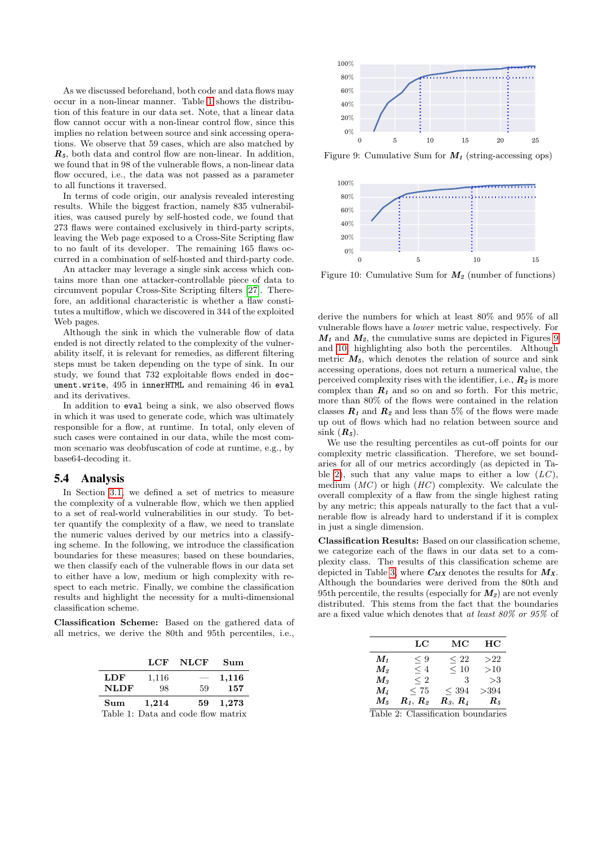As we discussed beforehand, both code and data flows may occur in a non-linear manner. Table [1](#page-7-1) shows the distribution of this feature in our data set. Note, that a linear data flow cannot occur with a non-linear control flow, since this implies no relation between source and sink accessing operations. We observe that 59 cases, which are also matched by  $R_5$ , both data and control flow are non-linear. In addition, we found that in 98 of the vulnerable flows, a non-linear data flow occured, i.e., the data was not passed as a parameter to all functions it traversed.

In terms of code origin, our analysis revealed interesting results. While the biggest fraction, namely 835 vulnerabilities, was caused purely by self-hosted code, we found that 273 flaws were contained exclusively in third-party scripts, leaving the Web page exposed to a Cross-Site Scripting flaw to no fault of its developer. The remaining 165 flaws occurred in a combination of self-hosted and third-party code.

An attacker may leverage a single sink access which contains more than one attacker-controllable piece of data to circumvent popular Cross-Site Scripting filters [\[27\]](#page-11-1). Therefore, an additional characteristic is whether a flaw constitutes a multiflow, which we discovered in 344 of the exploited Web pages.

Although the sink in which the vulnerable flow of data ended is not directly related to the complexity of the vulnerability itself, it is relevant for remedies, as different filtering steps must be taken depending on the type of sink. In our study, we found that 732 exploitable flows ended in document.write, 495 in innerHTML and remaining 46 in eval and its derivatives.

In addition to eval being a sink, we also observed flows in which it was used to generate code, which was ultimately responsible for a flow, at runtime. In total, only eleven of such cases were contained in our data, while the most common scenario was deobfuscation of code at runtime, e.g., by base64-decoding it.

#### <span id="page-7-0"></span>5.4 Analysis

In Section [3.1,](#page-1-2) we defined a set of metrics to measure the complexity of a vulnerable flow, which we then applied to a set of real-world vulnerabilities in our study. To better quantify the complexity of a flaw, we need to translate the numeric values derived by our metrics into a classifying scheme. In the following, we introduce the classification boundaries for these measures; based on these boundaries, we then classify each of the vulnerable flows in our data set to either have a low, medium or high complexity with respect to each metric. Finally, we combine the classification results and highlight the necessity for a multi-dimensional classification scheme.

<span id="page-7-1"></span>Classification Scheme: Based on the gathered data of all metrics, we derive the 80th and 95th percentiles, i.e.,

LCF NLCF Sum  $LDF$  1,116  $-1,116$ NLDF 98 59 157 Sum 1,214 59 1,273 Table 1: Data and code flow matrix

<span id="page-7-2"></span>![](_page_7_Figure_9.jpeg)

<span id="page-7-3"></span>Figure 9: Cumulative Sum for  $M_1$  (string-accessing ops)

![](_page_7_Figure_11.jpeg)

Figure 10: Cumulative Sum for  $M_2$  (number of functions)

derive the numbers for which at least 80% and 95% of all vulnerable flows have a lower metric value, respectively. For  $M_1$  and  $M_2$ , the cumulative sums are depicted in Figures [9](#page-7-2) and [10,](#page-7-3) highlighting also both the percentiles. Although metric  $M_5$ , which denotes the relation of source and sink accessing operations, does not return a numerical value, the perceived complexity rises with the identifier, i.e.,  $\mathbf{R}_2$  is more complex than  $R_1$  and so on and so forth. For this metric, more than 80% of the flows were contained in the relation classes  $\mathbf{R}_1$  and  $\mathbf{R}_2$  and less than 5% of the flows were made up out of flows which had no relation between source and  $\sin k(R_5)$ .

We use the resulting percentiles as cut-off points for our complexity metric classification. Therefore, we set boundaries for all of our metrics accordingly (as depicted in Ta-ble [2\)](#page-7-4), such that any value maps to either a low  $(LC)$ , medium  $(MC)$  or high  $(HC)$  complexity. We calculate the overall complexity of a flaw from the single highest rating by any metric; this appeals naturally to the fact that a vulnerable flow is already hard to understand if it is complex in just a single dimension.

Classification Results: Based on our classification scheme, we categorize each of the flaws in our data set to a complexity class. The results of this classification scheme are depicted in Table [3,](#page-8-1) where  $C_{MX}$  denotes the results for  $M_X$ . Although the boundaries were derived from the 80th and 95th percentile, the results (especially for  $M_2$ ) are not evenly distributed. This stems from the fact that the boundaries are a fixed value which denotes that at least 80% or 95% of

<span id="page-7-4"></span>

|                | LC                                  | $_{\mathrm{MC}}$                                | HС           |
|----------------|-------------------------------------|-------------------------------------------------|--------------|
| $M_1$          | $\leq 9$                            | $\leq 22$                                       | >22          |
| $M_{\rm \ell}$ | $\leq 4$                            | $\leq 10$                                       | >10          |
| $M_{\tiny 3}$  | $\leq 2$                            | 3                                               | ${>}3$       |
| $M_{\rm \ell}$ | < 75                                | < 394                                           | >394         |
| $\,M_{5}$      | $\bm{R_1},~\bm{R_2}$                | $\bm{R}_{\bm{\beta}},~\bm{R}_{\bm{\varLambda}}$ | $\bm{R}_{5}$ |
| <del>. .</del> | $\cdot$ $\circ$<br>$\sim$<br>$\sim$ |                                                 |              |

Table 2: Classification boundaries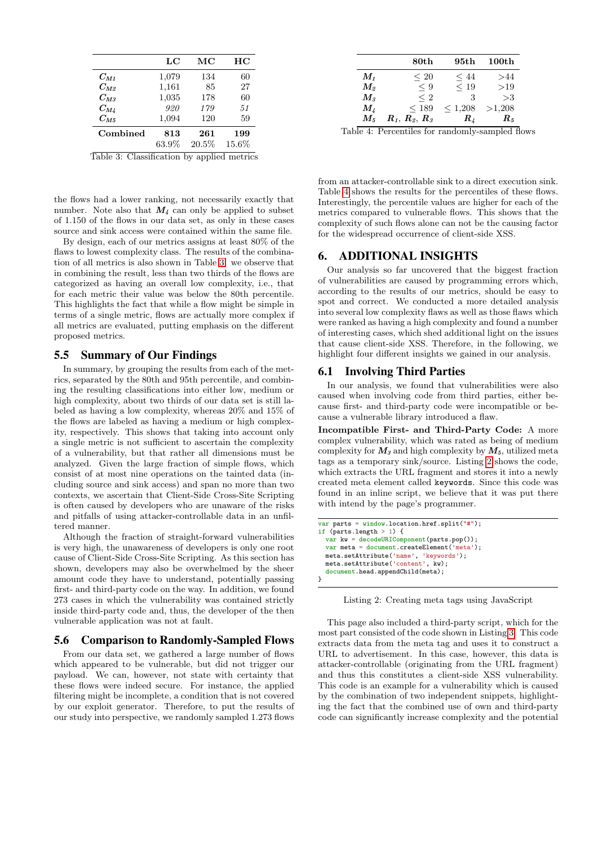<span id="page-8-1"></span>

|          | LC    | MС    | HС    |
|----------|-------|-------|-------|
| $C_{M1}$ | 1,079 | 134   | 60    |
| $C_{M2}$ | 1,161 | 85    | 27    |
| $C_{M3}$ | 1,035 | 178   | 60    |
| $C_{M4}$ | 920   | 179   | 51    |
| $C_{M5}$ | 1,094 | 120   | 59    |
| Combined | 813   | 261   | 199   |
|          | 63.9% | 20.5% | 15.6% |

Table 3: Classification by applied metrics

the flows had a lower ranking, not necessarily exactly that number. Note also that  $M_4$  can only be applied to subset of 1.150 of the flows in our data set, as only in these cases source and sink access were contained within the same file.

By design, each of our metrics assigns at least 80% of the flaws to lowest complexity class. The results of the combination of all metrics is also shown in Table [3:](#page-8-1) we observe that in combining the result, less than two thirds of the flows are categorized as having an overall low complexity, i.e., that for each metric their value was below the 80th percentile. This highlights the fact that while a flow might be simple in terms of a single metric, flows are actually more complex if all metrics are evaluated, putting emphasis on the different proposed metrics.

### 5.5 Summary of Our Findings

In summary, by grouping the results from each of the metrics, separated by the 80th and 95th percentile, and combining the resulting classifications into either low, medium or high complexity, about two thirds of our data set is still labeled as having a low complexity, whereas 20% and 15% of the flows are labeled as having a medium or high complexity, respectively. This shows that taking into account only a single metric is not sufficient to ascertain the complexity of a vulnerability, but that rather all dimensions must be analyzed. Given the large fraction of simple flows, which consist of at most nine operations on the tainted data (including source and sink access) and span no more than two contexts, we ascertain that Client-Side Cross-Site Scripting is often caused by developers who are unaware of the risks and pitfalls of using attacker-controllable data in an unfiltered manner.

Although the fraction of straight-forward vulnerabilities is very high, the unawareness of developers is only one root cause of Client-Side Cross-Site Scripting. As this section has shown, developers may also be overwhelmed by the sheer amount code they have to understand, potentially passing first- and third-party code on the way. In addition, we found 273 cases in which the vulnerability was contained strictly inside third-party code and, thus, the developer of the then vulnerable application was not at fault.

## 5.6 Comparison to Randomly-Sampled Flows

From our data set, we gathered a large number of flows which appeared to be vulnerable, but did not trigger our payload. We can, however, not state with certainty that these flows were indeed secure. For instance, the applied filtering might be incomplete, a condition that is not covered by our exploit generator. Therefore, to put the results of our study into perspective, we randomly sampled 1.273 flows

<span id="page-8-2"></span>

|                               | 80th            | 95th                     | 100th  |
|-------------------------------|-----------------|--------------------------|--------|
| $M_1$                         | $\leq 20$       | $\leq 44$                | >44    |
| $\boldsymbol{M_2}$            | $\leq 9$        | < 19                     | >19    |
| $M_{\rm\scriptscriptstyle 3}$ | $\leq 2$        | 3                        | >3     |
| $M_{\lambda}$                 | < 189           | < 1,208                  | >1,208 |
| $M_{\rm 5}$                   | $R_1, R_2, R_3$ | $\boldsymbol{R}_\lambda$ | $R_5$  |

Table 4: Percentiles for randomly-sampled flows

from an attacker-controllable sink to a direct execution sink. Table [4](#page-8-2) shows the results for the percentiles of these flows. Interestingly, the percentile values are higher for each of the metrics compared to vulnerable flows. This shows that the complexity of such flows alone can not be the causing factor for the widespread occurrence of client-side XSS.

## <span id="page-8-0"></span>6. ADDITIONAL INSIGHTS

Our analysis so far uncovered that the biggest fraction of vulnerabilities are caused by programming errors which, according to the results of our metrics, should be easy to spot and correct. We conducted a more detailed analysis into several low complexity flaws as well as those flaws which were ranked as having a high complexity and found a number of interesting cases, which shed additional light on the issues that cause client-side XSS. Therefore, in the following, we highlight four different insights we gained in our analysis.

## 6.1 Involving Third Parties

In our analysis, we found that vulnerabilities were also caused when involving code from third parties, either because first- and third-party code were incompatible or because a vulnerable library introduced a flaw.

Incompatible First- and Third-Party Code: A more complex vulnerability, which was rated as being of medium complexity for  $M_3$  and high complexity by  $M_5$ , utilized meta tags as a temporary sink/source. Listing [2](#page-8-3) shows the code, which extracts the URL fragment and stores it into a newly created meta element called keywords. Since this code was found in an inline script, we believe that it was put there with intend by the page's programmer.

```
var parts = window.location.href.split("#");
if (parts.length > 1) {
  var kw = decodeURIComponent(parts.pop());
  var meta = document.createElement('meta');
  meta.setAttribute('name', 'keywords');
  meta.setAttribute('content', kw);
  document.head.appendChild(meta);
}
```
Listing 2: Creating meta tags using JavaScript

This page also included a third-party script, which for the most part consisted of the code shown in Listing [3.](#page-9-0) This code extracts data from the meta tag and uses it to construct a URL to advertisement. In this case, however, this data is attacker-controllable (originating from the URL fragment) and thus this constitutes a client-side XSS vulnerability. This code is an example for a vulnerability which is caused by the combination of two independent snippets, highlighting the fact that the combined use of own and third-party code can significantly increase complexity and the potential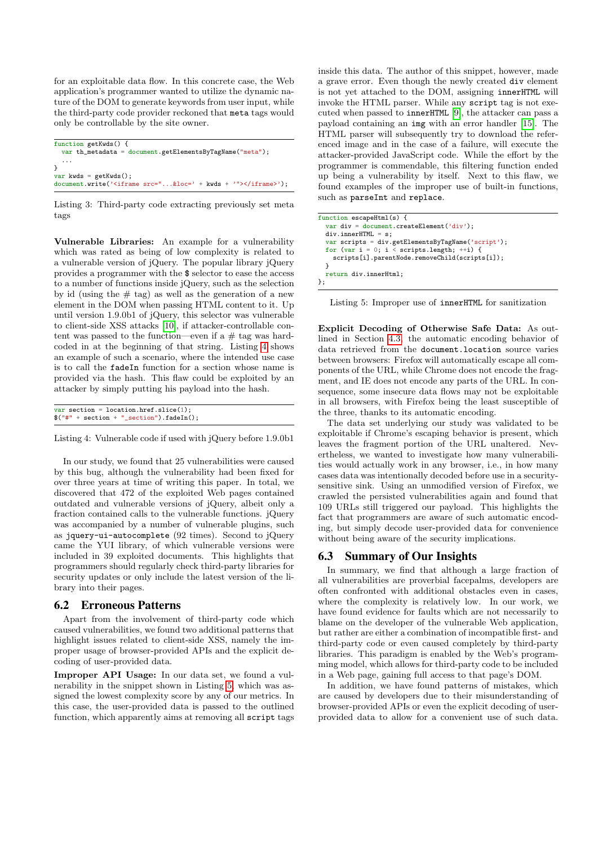for an exploitable data flow. In this concrete case, the Web application's programmer wanted to utilize the dynamic nature of the DOM to generate keywords from user input, while the third-party code provider reckoned that meta tags would only be controllable by the site owner.

<span id="page-9-0"></span>

| function getKwds() {                                       |
|------------------------------------------------------------|
| $var$ th_metadata = document.getElementsByTagName("meta"); |
| $\cdot$ $\cdot$ $\cdot$                                    |
|                                                            |
| $var$ kwds = getKwds();                                    |
| $document.write('ifreme src="kloc=' + kwds + ''>(if$       |

Listing 3: Third-party code extracting previously set meta tags

Vulnerable Libraries: An example for a vulnerability which was rated as being of low complexity is related to a vulnerable version of jQuery. The popular library jQuery provides a programmer with the \$ selector to ease the access to a number of functions inside jQuery, such as the selection by id (using the  $\#$  tag) as well as the generation of a new element in the DOM when passing HTML content to it. Up until version 1.9.0b1 of jQuery, this selector was vulnerable to client-side XSS attacks [\[10\]](#page-11-12), if attacker-controllable content was passed to the function—even if a  $\#$  tag was hardcoded in at the beginning of that string. Listing [4](#page-9-1) shows an example of such a scenario, where the intended use case is to call the fadeIn function for a section whose name is provided via the hash. This flaw could be exploited by an attacker by simply putting his payload into the hash.

<span id="page-9-1"></span>

|  | $var$ section = location.href.slice(1):          |
|--|--------------------------------------------------|
|  | $$(\n"#" + section + "section") \cdot fadeIn():$ |

Listing 4: Vulnerable code if used with jQuery before 1.9.0b1

In our study, we found that 25 vulnerabilities were caused by this bug, although the vulnerability had been fixed for over three years at time of writing this paper. In total, we discovered that 472 of the exploited Web pages contained outdated and vulnerable versions of jQuery, albeit only a fraction contained calls to the vulnerable functions. jQuery was accompanied by a number of vulnerable plugins, such as jquery-ui-autocomplete (92 times). Second to jQuery came the YUI library, of which vulnerable versions were included in 39 exploited documents. This highlights that programmers should regularly check third-party libraries for security updates or only include the latest version of the library into their pages.

#### 6.2 Erroneous Patterns

Apart from the involvement of third-party code which caused vulnerabilities, we found two additional patterns that highlight issues related to client-side XSS, namely the improper usage of browser-provided APIs and the explicit decoding of user-provided data.

Improper API Usage: In our data set, we found a vulnerability in the snippet shown in Listing [5,](#page-9-2) which was assigned the lowest complexity score by any of our metrics. In this case, the user-provided data is passed to the outlined function, which apparently aims at removing all script tags inside this data. The author of this snippet, however, made a grave error. Even though the newly created div element is not yet attached to the DOM, assigning innerHTML will invoke the HTML parser. While any script tag is not executed when passed to innerHTML [\[9\]](#page-11-13), the attacker can pass a payload containing an img with an error handler [\[15\]](#page-11-14). The HTML parser will subsequently try to download the referenced image and in the case of a failure, will execute the attacker-provided JavaScript code. While the effort by the programmer is commendable, this filtering function ended up being a vulnerability by itself. Next to this flaw, we found examples of the improper use of built-in functions, such as parseInt and replace.

```
function escapeHtml(s) {<br>var div = document.createElement('div');
  div.innerHTML = s;
  var scripts = div.getElementsByTagName('script');
  for (var i = 0; i < scripts.length; i \neq i) {
    scripts[i].parentNode.removeChild(scripts[i]);
  }
  return div.innerHtml;
};
```
Listing 5: Improper use of innerHTML for sanitization

Explicit Decoding of Otherwise Safe Data: As outlined in Section [4.3,](#page-4-1) the automatic encoding behavior of data retrieved from the document.location source varies between browsers: Firefox will automatically escape all components of the URL, while Chrome does not encode the fragment, and IE does not encode any parts of the URL. In consequence, some insecure data flows may not be exploitable in all browsers, with Firefox being the least susceptible of the three, thanks to its automatic encoding.

The data set underlying our study was validated to be exploitable if Chrome's escaping behavior is present, which leaves the fragment portion of the URL unaltered. Nevertheless, we wanted to investigate how many vulnerabilities would actually work in any browser, i.e., in how many cases data was intentionally decoded before use in a securitysensitive sink. Using an unmodified version of Firefox, we crawled the persisted vulnerabilities again and found that 109 URLs still triggered our payload. This highlights the fact that programmers are aware of such automatic encoding, but simply decode user-provided data for convenience without being aware of the security implications.

## 6.3 Summary of Our Insights

In summary, we find that although a large fraction of all vulnerabilities are proverbial facepalms, developers are often confronted with additional obstacles even in cases, where the complexity is relatively low. In our work, we have found evidence for faults which are not necessarily to blame on the developer of the vulnerable Web application, but rather are either a combination of incompatible first- and third-party code or even caused completely by third-party libraries. This paradigm is enabled by the Web's programming model, which allows for third-party code to be included in a Web page, gaining full access to that page's DOM.

In addition, we have found patterns of mistakes, which are caused by developers due to their misunderstanding of browser-provided APIs or even the explicit decoding of userprovided data to allow for a convenient use of such data.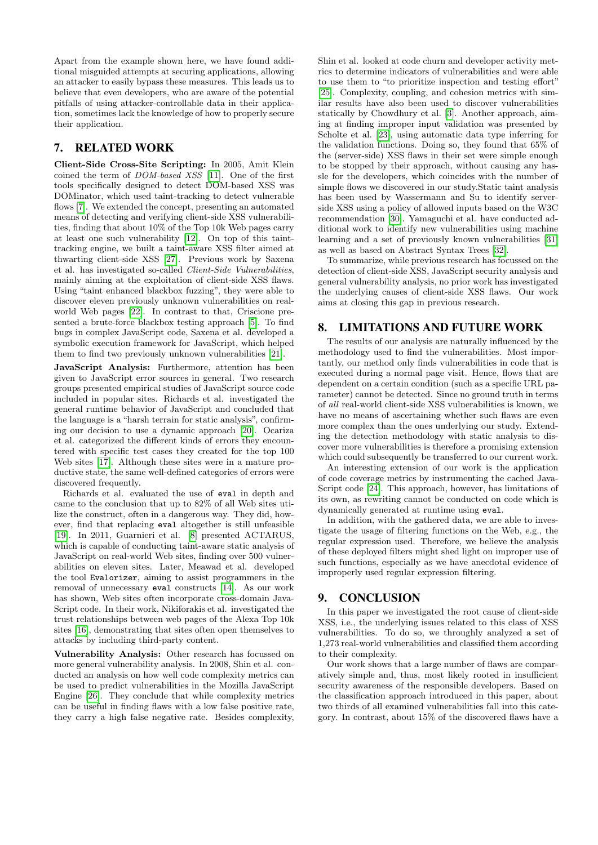Apart from the example shown here, we have found additional misguided attempts at securing applications, allowing an attacker to easily bypass these measures. This leads us to believe that even developers, who are aware of the potential pitfalls of using attacker-controllable data in their application, sometimes lack the knowledge of how to properly secure their application.

# 7. RELATED WORK

Client-Side Cross-Site Scripting: In 2005, Amit Klein coined the term of DOM-based XSS [\[11\]](#page-11-0). One of the first tools specifically designed to detect DOM-based XSS was DOMinator, which used taint-tracking to detect vulnerable flows [\[7\]](#page-11-8). We extended the concept, presenting an automated means of detecting and verifying client-side XSS vulnerabilities, finding that about 10% of the Top 10k Web pages carry at least one such vulnerability [\[12\]](#page-11-3). On top of this tainttracking engine, we built a taint-aware XSS filter aimed at thwarting client-side XSS [\[27\]](#page-11-1). Previous work by Saxena et al. has investigated so-called Client-Side Vulnerabilities, mainly aiming at the exploitation of client-side XSS flaws. Using "taint enhanced blackbox fuzzing", they were able to discover eleven previously unknown vulnerabilities on realworld Web pages [\[22\]](#page-11-15). In contrast to that, Criscione presented a brute-force blackbox testing approach [\[5\]](#page-11-16). To find bugs in complex JavaScript code, Saxena et al. developed a symbolic execution framework for JavaScript, which helped them to find two previously unknown vulnerabilities [\[21\]](#page-11-17).

JavaScript Analysis: Furthermore, attention has been given to JavaScript error sources in general. Two research groups presented empirical studies of JavaScript source code included in popular sites. Richards et al. investigated the general runtime behavior of JavaScript and concluded that the language is a "harsh terrain for static analysis", confirming our decision to use a dynamic approach [\[20\]](#page-11-18). Ocariza et al. categorized the different kinds of errors they encountered with specific test cases they created for the top 100 Web sites [\[17\]](#page-11-19). Although these sites were in a mature productive state, the same well-defined categories of errors were discovered frequently.

Richards et al. evaluated the use of eval in depth and came to the conclusion that up to 82% of all Web sites utilize the construct, often in a dangerous way. They did, however, find that replacing eval altogether is still unfeasible [\[19\]](#page-11-20). In 2011, Guarnieri et al. [\[8\]](#page-11-21) presented ACTARUS, which is capable of conducting taint-aware static analysis of JavaScript on real-world Web sites, finding over 500 vulnerabilities on eleven sites. Later, Meawad et al. developed the tool Evalorizer, aiming to assist programmers in the removal of unnecessary eval constructs [\[14\]](#page-11-22). As our work has shown, Web sites often incorporate cross-domain Java-Script code. In their work, Nikiforakis et al. investigated the trust relationships between web pages of the Alexa Top 10k sites [\[16\]](#page-11-23), demonstrating that sites often open themselves to attacks by including third-party content.

Vulnerability Analysis: Other research has focussed on more general vulnerability analysis. In 2008, Shin et al. conducted an analysis on how well code complexity metrics can be used to predict vulnerabilities in the Mozilla JavaScript Engine [\[26\]](#page-11-24). They conclude that while complexity metrics can be useful in finding flaws with a low false positive rate, they carry a high false negative rate. Besides complexity,

Shin et al. looked at code churn and developer activity metrics to determine indicators of vulnerabilities and were able to use them to "to prioritize inspection and testing effort" [\[25\]](#page-11-25). Complexity, coupling, and cohesion metrics with similar results have also been used to discover vulnerabilities statically by Chowdhury et al. [\[3\]](#page-11-26). Another approach, aiming at finding improper input validation was presented by Scholte et al. [\[23\]](#page-11-27), using automatic data type inferring for the validation functions. Doing so, they found that 65% of the (server-side) XSS flaws in their set were simple enough to be stopped by their approach, without causing any hassle for the developers, which coincides with the number of simple flows we discovered in our study.Static taint analysis has been used by Wassermann and Su to identify serverside XSS using a policy of allowed inputs based on the W3C recommendation [\[30\]](#page-11-28). Yamaguchi et al. have conducted additional work to identify new vulnerabilities using machine learning and a set of previously known vulnerabilities [\[31\]](#page-11-29) as well as based on Abstract Syntax Trees [\[32\]](#page-11-30).

To summarize, while previous research has focussed on the detection of client-side XSS, JavaScript security analysis and general vulnerability analysis, no prior work has investigated the underlying causes of client-side XSS flaws. Our work aims at closing this gap in previous research.

# 8. LIMITATIONS AND FUTURE WORK

The results of our analysis are naturally influenced by the methodology used to find the vulnerabilities. Most importantly, our method only finds vulnerabilities in code that is executed during a normal page visit. Hence, flows that are dependent on a certain condition (such as a specific URL parameter) cannot be detected. Since no ground truth in terms of all real-world client-side XSS vulnerabilities is known, we have no means of ascertaining whether such flaws are even more complex than the ones underlying our study. Extending the detection methodology with static analysis to discover more vulnerabilities is therefore a promising extension which could subsequently be transferred to our current work.

An interesting extension of our work is the application of code coverage metrics by instrumenting the cached Java-Script code [\[24\]](#page-11-31). This approach, however, has limitations of its own, as rewriting cannot be conducted on code which is dynamically generated at runtime using eval.

In addition, with the gathered data, we are able to investigate the usage of filtering functions on the Web, e.g., the regular expression used. Therefore, we believe the analysis of these deployed filters might shed light on improper use of such functions, especially as we have anecdotal evidence of improperly used regular expression filtering.

# 9. CONCLUSION

In this paper we investigated the root cause of client-side XSS, i.e., the underlying issues related to this class of XSS vulnerabilities. To do so, we throughly analyzed a set of 1,273 real-world vulnerabilities and classified them according to their complexity.

Our work shows that a large number of flaws are comparatively simple and, thus, most likely rooted in insufficient security awareness of the responsible developers. Based on the classification approach introduced in this paper, about two thirds of all examined vulnerabilities fall into this category. In contrast, about 15% of the discovered flaws have a